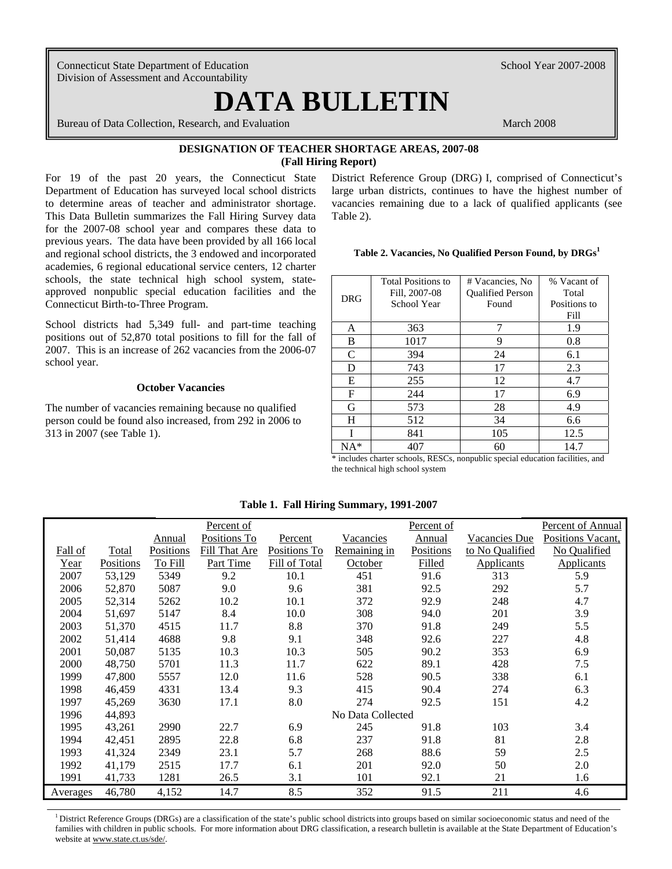Connecticut State Department of Education School Year 2007-2008 Division of Assessment and Accountability

 $\overline{\phantom{a}}$ 

# **DATA BULLETIN**

Bureau of Data Collection, Research, and Evaluation March 2008

# **DESIGNATION OF TEACHER SHORTAGE AREAS, 2007-08 (Fall Hiring Report)**

For 19 of the past 20 years, the Connecticut State Department of Education has surveyed local school districts to determine areas of teacher and administrator shortage. This Data Bulletin summarizes the Fall Hiring Survey data for the 2007-08 school year and compares these data to previous years. The data have been provided by all 166 local and regional school districts, the 3 endowed and incorporated academies, 6 regional educational service centers, 12 charter schools, the state technical high school system, stateapproved nonpublic special education facilities and the Connecticut Birth-to-Three Program.

School districts had 5,349 full- and part-time teaching positions out of 52,870 total positions to fill for the fall of 2007. This is an increase of 262 vacancies from the 2006-07 school year.

#### **October Vacancies**

The number of vacancies remaining because no qualified person could be found also increased, from 292 in 2006 to 313 in 2007 (see Table 1).

District Reference Group (DRG) I, comprised of Connecticut's large urban districts, continues to have the highest number of vacancies remaining due to a lack of qualified applicants (see Table 2).

#### **Table 2. Vacancies, No Qualified Person Found, by DRGs<sup>1</sup>**

|            | <b>Total Positions to</b> | # Vacancies, No         | % Vacant of  |  |  |
|------------|---------------------------|-------------------------|--------------|--|--|
| <b>DRG</b> | Fill, 2007-08             | <b>Oualified Person</b> | Total        |  |  |
|            | School Year               | Found                   | Positions to |  |  |
|            |                           |                         | Fill         |  |  |
| A          | 363                       | 7                       | 1.9          |  |  |
| B          | 1017                      | 9                       | 0.8          |  |  |
| C          | 394                       | 24                      | 6.1          |  |  |
| D          | 743                       | 17                      | 2.3          |  |  |
| Е          | 255                       | 12                      | 4.7          |  |  |
| F          | 244                       | 17                      | 6.9          |  |  |
| G          | 573                       | 28                      | 4.9          |  |  |
| H          | 512                       | 34                      | 6.6          |  |  |
|            | 841                       | 105                     | 12.5         |  |  |
| $NA*$      | 407                       | 60                      | 14.7         |  |  |

\* includes charter schools, RESCs, nonpublic special education facilities, and the technical high school system

## **Table 1. Fall Hiring Summary, 1991-2007**

|          |           |           | Percent of    |               |                   | Percent of    |                 | Percent of Annual |
|----------|-----------|-----------|---------------|---------------|-------------------|---------------|-----------------|-------------------|
|          |           | Annual    | Positions To  | Percent       | Vacancies         | <b>Annual</b> | Vacancies Due   | Positions Vacant, |
| Fall of  | Total     | Positions | Fill That Are | Positions To  | Remaining in      | Positions     | to No Qualified | No Qualified      |
| Year     | Positions | To Fill   | Part Time     | Fill of Total | October           | Filled        | Applicants      | <b>Applicants</b> |
| 2007     | 53,129    | 5349      | 9.2           | 10.1          | 451               | 91.6          | 313             | 5.9               |
| 2006     | 52,870    | 5087      | 9.0           | 9.6           | 381               | 92.5          | 292             | 5.7               |
| 2005     | 52,314    | 5262      | 10.2          | 10.1          | 372               | 92.9          | 248             | 4.7               |
| 2004     | 51,697    | 5147      | 8.4           | 10.0          | 308               | 94.0          | 201             | 3.9               |
| 2003     | 51,370    | 4515      | 11.7          | 8.8           | 370               | 91.8          | 249             | 5.5               |
| 2002     | 51,414    | 4688      | 9.8           | 9.1           | 348               | 92.6          | 227             | 4.8               |
| 2001     | 50.087    | 5135      | 10.3          | 10.3          | 505               | 90.2          | 353             | 6.9               |
| 2000     | 48,750    | 5701      | 11.3          | 11.7          | 622               | 89.1          | 428             | 7.5               |
| 1999     | 47,800    | 5557      | 12.0          | 11.6          | 528               | 90.5          | 338             | 6.1               |
| 1998     | 46,459    | 4331      | 13.4          | 9.3           | 415               | 90.4          | 274             | 6.3               |
| 1997     | 45,269    | 3630      | 17.1          | 8.0           | 274               | 92.5          | 151             | 4.2               |
| 1996     | 44,893    |           |               |               | No Data Collected |               |                 |                   |
| 1995     | 43,261    | 2990      | 22.7          | 6.9           | 245               | 91.8          | 103             | 3.4               |
| 1994     | 42,451    | 2895      | 22.8          | 6.8           | 237               | 91.8          | 81              | 2.8               |
| 1993     | 41,324    | 2349      | 23.1          | 5.7           | 268               | 88.6          | 59              | 2.5               |
| 1992     | 41,179    | 2515      | 17.7          | 6.1           | 201               | 92.0          | 50              | 2.0               |
| 1991     | 41,733    | 1281      | 26.5          | 3.1           | 101               | 92.1          | 21              | 1.6               |
| Averages | 46,780    | 4,152     | 14.7          | 8.5           | 352               | 91.5          | 211             | 4.6               |

<sup>1</sup> District Reference Groups (DRGs) are a classification of the state's public school districts into groups based on similar socioeconomic status and need of the families with children in public schools. For more information about DRG classification, a research bulletin is available at the State Department of Education's website at www.state.ct.us/sde/.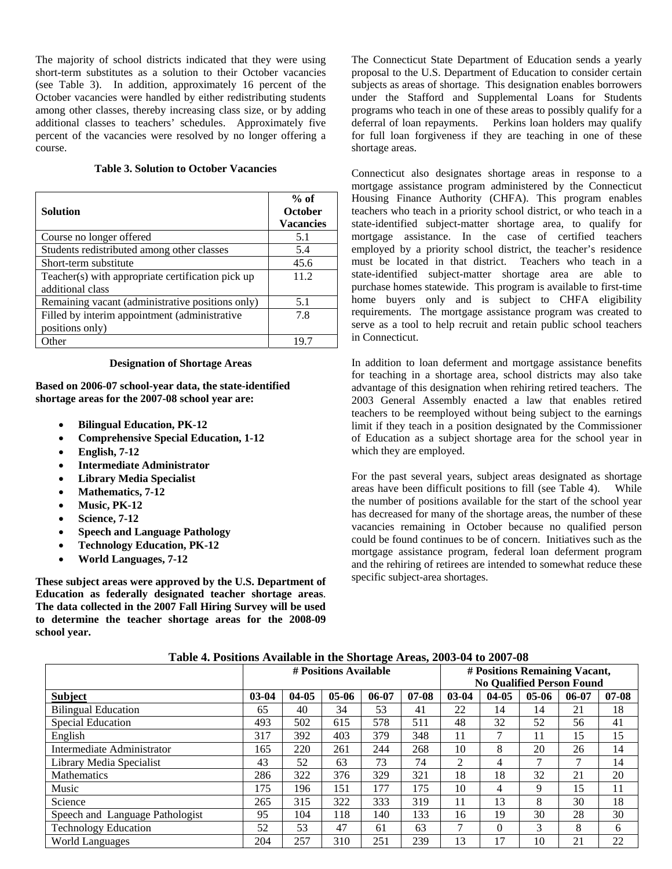The majority of school districts indicated that they were using short-term substitutes as a solution to their October vacancies (see Table 3). In addition, approximately 16 percent of the October vacancies were handled by either redistributing students among other classes, thereby increasing class size, or by adding additional classes to teachers' schedules. Approximately five percent of the vacancies were resolved by no longer offering a course.

# **Table 3. Solution to October Vacancies**

| <b>Solution</b>                                                       | $%$ of<br><b>October</b><br><b>Vacancies</b> |
|-----------------------------------------------------------------------|----------------------------------------------|
| Course no longer offered                                              | 5.1                                          |
| Students redistributed among other classes                            | 5.4                                          |
| Short-term substitute                                                 | 45.6                                         |
| Teacher(s) with appropriate certification pick up<br>additional class | 11.2                                         |
| Remaining vacant (administrative positions only)                      | 5.1                                          |
| Filled by interim appointment (administrative                         | 7.8                                          |
| positions only)                                                       |                                              |
| Other                                                                 |                                              |

#### **Designation of Shortage Areas**

**Based on 2006-07 school-year data, the state-identified shortage areas for the 2007-08 school year are:** 

- **Bilingual Education, PK-12**
- **Comprehensive Special Education, 1-12**
- **English, 7-12**
- **Intermediate Administrator**
- **Library Media Specialist**
- **Mathematics, 7-12**
- **Music, PK-12**
- **Science, 7-12**
- **Speech and Language Pathology**
- **Technology Education, PK-12**
- **World Languages, 7-12**

**These subject areas were approved by the U.S. Department of Education as federally designated teacher shortage areas**. **The data collected in the 2007 Fall Hiring Survey will be used to determine the teacher shortage areas for the 2008-09 school year.**

The Connecticut State Department of Education sends a yearly proposal to the U.S. Department of Education to consider certain subjects as areas of shortage. This designation enables borrowers under the Stafford and Supplemental Loans for Students programs who teach in one of these areas to possibly qualify for a deferral of loan repayments. Perkins loan holders may qualify for full loan forgiveness if they are teaching in one of these shortage areas.

Connecticut also designates shortage areas in response to a mortgage assistance program administered by the Connecticut Housing Finance Authority (CHFA). This program enables teachers who teach in a priority school district, or who teach in a state-identified subject-matter shortage area, to qualify for mortgage assistance. In the case of certified teachers employed by a priority school district, the teacher's residence must be located in that district. Teachers who teach in a state-identified subject-matter shortage area are able to purchase homes statewide. This program is available to first-time home buyers only and is subject to CHFA eligibility requirements. The mortgage assistance program was created to serve as a tool to help recruit and retain public school teachers in Connecticut.

In addition to loan deferment and mortgage assistance benefits for teaching in a shortage area, school districts may also take advantage of this designation when rehiring retired teachers. The 2003 General Assembly enacted a law that enables retired teachers to be reemployed without being subject to the earnings limit if they teach in a position designated by the Commissioner of Education as a subject shortage area for the school year in which they are employed.

For the past several years, subject areas designated as shortage areas have been difficult positions to fill (see Table 4). While the number of positions available for the start of the school year has decreased for many of the shortage areas, the number of these vacancies remaining in October because no qualified person could be found continues to be of concern. Initiatives such as the mortgage assistance program, federal loan deferment program and the rehiring of retirees are intended to somewhat reduce these specific subject-area shortages.

## **Table 4. Positions Available in the Shortage Areas, 2003-04 to 2007-08**

|                                 | # Positions Available |           |           |           |         | # Positions Remaining Vacant,    |           |         |       |           |
|---------------------------------|-----------------------|-----------|-----------|-----------|---------|----------------------------------|-----------|---------|-------|-----------|
|                                 |                       |           |           |           |         | <b>No Qualified Person Found</b> |           |         |       |           |
| <b>Subject</b>                  | $03-04$               | $04 - 05$ | $05 - 06$ | $06 - 07$ | $07-08$ | $03-04$                          | $04 - 05$ | $05-06$ | 06-07 | $07 - 08$ |
| <b>Bilingual Education</b>      | 65                    | 40        | 34        | 53        | 41      | 22                               | 14        | 14      | 21    | 18        |
| Special Education               | 493                   | 502       | 615       | 578       | 511     | 48                               | 32        | 52      | 56    | 41        |
| English                         | 317                   | 392       | 403       | 379       | 348     | 11                               | ⇁         | 11      | 15    | 15        |
| Intermediate Administrator      | 165                   | 220       | 261       | 244       | 268     | 10                               | 8         | 20      | 26    | 14        |
| Library Media Specialist        | 43                    | 52        | 63        | 73        | 74      | 2                                | 4         |         | ⇁     | 14        |
| <b>Mathematics</b>              | 286                   | 322       | 376       | 329       | 321     | 18                               | 18        | 32      | 21    | 20        |
| Music                           | 175                   | 196       | 151       | 177       | 175     | 10                               | 4         | 9       | 15    | 11        |
| Science                         | 265                   | 315       | 322       | 333       | 319     | 11                               | 13        | 8       | 30    | 18        |
| Speech and Language Pathologist | 95                    | 104       | 118       | 140       | 133     | 16                               | 19        | 30      | 28    | 30        |
| <b>Technology Education</b>     | 52                    | 53        | 47        | 61        | 63      | 7                                | 0         | 3       | 8     | 6         |
| <b>World Languages</b>          | 204                   | 257       | 310       | 251       | 239     | 13                               | 17        | 10      | 21    | 22        |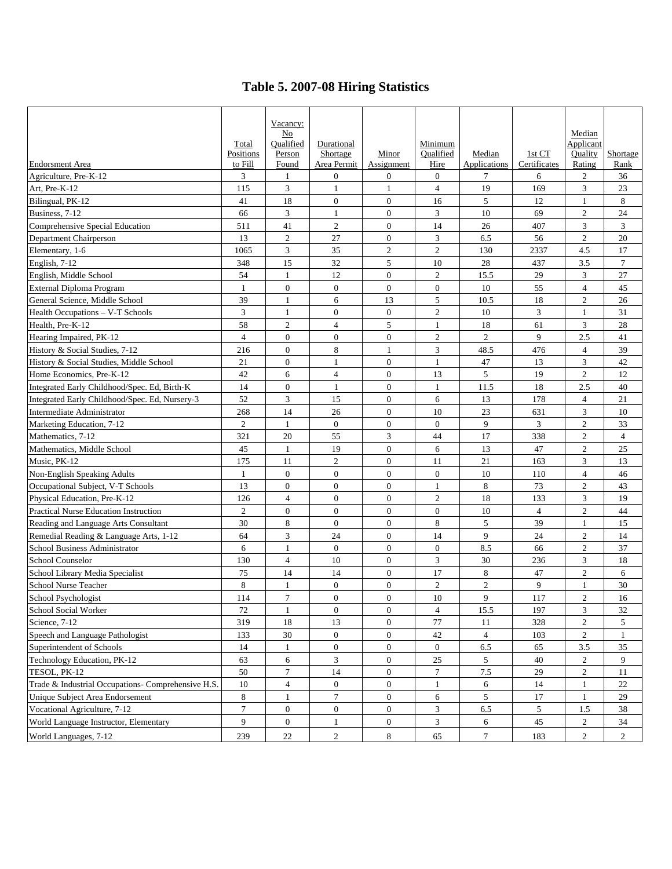# **Table 5. 2007-08 Hiring Statistics**

|                                                    |                      | Vacancy:         |                         |                     |                   |                        |                        |                   |                  |
|----------------------------------------------------|----------------------|------------------|-------------------------|---------------------|-------------------|------------------------|------------------------|-------------------|------------------|
|                                                    |                      | No               |                         |                     |                   |                        |                        | Median            |                  |
|                                                    | Total                | Qualified        | Durational              |                     | Minimum           |                        |                        | Applicant         |                  |
| <b>Endorsment Area</b>                             | Positions<br>to Fill | Person<br>Found  | Shortage<br>Area Permit | Minor<br>Assignment | Qualified<br>Hire | Median<br>Applications | 1st CT<br>Certificates | Quality<br>Rating | Shortage<br>Rank |
| Agriculture, Pre-K-12                              | 3                    | $\mathbf{1}$     | $\mathbf{0}$            | $\boldsymbol{0}$    | $\mathbf{0}$      | 7                      | 6                      | $\overline{2}$    | 36               |
| Art, Pre-K-12                                      | 115                  | 3                | $\mathbf{1}$            | 1                   | $\overline{4}$    | 19                     | 169                    | 3                 | 23               |
| Bilingual, PK-12                                   | 41                   | 18               | $\mathbf{0}$            | $\boldsymbol{0}$    | 16                | 5                      | 12                     | 1                 | 8                |
| Business, 7-12                                     | 66                   | 3                | $\mathbf{1}$            | $\boldsymbol{0}$    | 3                 | 10                     | 69                     | $\overline{c}$    | 24               |
| Comprehensive Special Education                    | 511                  | 41               | $\overline{2}$          | $\overline{0}$      | 14                | 26                     | 407                    | 3                 | 3                |
| Department Chairperson                             | 13                   | $\overline{c}$   | 27                      | $\overline{0}$      | 3                 | 6.5                    | 56                     | $\mathfrak{2}$    | 20               |
| Elementary, 1-6                                    | 1065                 | 3                | 35                      | $\overline{2}$      | $\overline{2}$    | 130                    | 2337                   | 4.5               | 17               |
| English, 7-12                                      | 348                  | 15               | 32                      | 5                   | 10                | 28                     | 437                    | 3.5               | $\overline{7}$   |
| English, Middle School                             | 54                   | $\mathbf{1}$     | 12                      | $\overline{0}$      | $\mathfrak{2}$    | 15.5                   | 29                     | 3                 | 27               |
| External Diploma Program                           | $\mathbf{1}$         | $\overline{0}$   | $\overline{0}$          | $\boldsymbol{0}$    | $\overline{0}$    | 10                     | 55                     | $\overline{4}$    | 45               |
| General Science, Middle School                     | 39                   | $\mathbf{1}$     | 6                       | 13                  | 5                 | 10.5                   | 18                     | $\mathfrak{2}$    | 26               |
| Health Occupations - V-T Schools                   | 3                    | $\mathbf{1}$     | $\mathbf{0}$            | $\boldsymbol{0}$    | $\overline{2}$    | 10                     | 3                      | 1                 | 31               |
| Health, Pre-K-12                                   | 58                   | $\mathbf{2}$     | $\overline{4}$          | 5                   | 1                 | 18                     | 61                     | 3                 | $28\,$           |
| Hearing Impaired, PK-12                            | $\overline{4}$       | $\overline{0}$   | $\overline{0}$          | $\boldsymbol{0}$    | $\overline{c}$    | $\overline{2}$         | 9                      | 2.5               | 41               |
| History & Social Studies, 7-12                     | 216                  | $\boldsymbol{0}$ | 8                       | 1                   | 3                 | 48.5                   | 476                    | 4                 | 39               |
| History & Social Studies, Middle School            | 21                   | $\overline{0}$   | $\mathbf{1}$            | $\overline{0}$      | $\mathbf{1}$      | 47                     | 13                     | 3                 | 42               |
| Home Economics, Pre-K-12                           | 42                   | 6                | 4                       | $\boldsymbol{0}$    | 13                | 5                      | 19                     | $\overline{c}$    | 12               |
| Integrated Early Childhood/Spec. Ed, Birth-K       | 14                   | $\overline{0}$   | $\mathbf{1}$            | $\mathbf{0}$        | 1                 | 11.5                   | 18                     | 2.5               | 40               |
| Integrated Early Childhood/Spec. Ed, Nursery-3     | 52                   | 3                | 15                      | $\boldsymbol{0}$    | 6                 | 13                     | 178                    | $\overline{4}$    | 21               |
| Intermediate Administrator                         | 268                  | 14               | 26                      | $\boldsymbol{0}$    | 10                | 23                     | 631                    | 3                 | 10               |
| Marketing Education, 7-12                          | $\mathfrak{2}$       | $\mathbf{1}$     | $\mathbf{0}$            | $\mathbf{0}$        | $\overline{0}$    | 9                      | 3                      | $\mathfrak{2}$    | 33               |
| Mathematics, 7-12                                  | 321                  | 20               | 55                      | 3                   | 44                | 17                     | 338                    | $\mathfrak{2}$    | $\overline{4}$   |
| Mathematics, Middle School                         | 45                   | 1                | 19                      | $\overline{0}$      | 6                 | 13                     | 47                     | $\mathfrak{2}$    | 25               |
| Music, PK-12                                       | 175                  | 11               | $\sqrt{2}$              | $\overline{0}$      | 11                | 21                     | 163                    | 3                 | 13               |
| Non-English Speaking Adults                        | $\mathbf{1}$         | $\overline{0}$   | $\overline{0}$          | $\overline{0}$      | $\overline{0}$    | 10                     | 110                    | $\overline{4}$    | 46               |
| Occupational Subject, V-T Schools                  | 13                   | $\overline{0}$   | $\overline{0}$          | $\overline{0}$      | $\mathbf{1}$      | 8                      | 73                     | $\overline{c}$    | 43               |
| Physical Education, Pre-K-12                       | 126                  | $\overline{4}$   | $\overline{0}$          | $\boldsymbol{0}$    | $\overline{c}$    | 18                     | 133                    | 3                 | 19               |
| Practical Nurse Education Instruction              | $\overline{c}$       | $\mathbf{0}$     | $\overline{0}$          | $\boldsymbol{0}$    | $\overline{0}$    | 10                     | $\overline{4}$         | $\overline{c}$    | 44               |
| Reading and Language Arts Consultant               | 30                   | 8                | $\mathbf{0}$            | $\boldsymbol{0}$    | 8                 | 5                      | 39                     | $\mathbf{1}$      | 15               |
| Remedial Reading & Language Arts, 1-12             | 64                   | 3                | 24                      | $\boldsymbol{0}$    | 14                | 9                      | 24                     | $\sqrt{2}$        | 14               |
| School Business Administrator                      | 6                    | $\mathbf{1}$     | $\mathbf{0}$            | $\mathbf{0}$        | $\overline{0}$    | 8.5                    | 66                     | $\mathfrak{2}$    | 37               |
| School Counselor                                   | 130                  | 4                | 10                      | $\boldsymbol{0}$    | 3                 | 30                     | 236                    | 3                 | 18               |
| School Library Media Specialist                    | 75                   | 14               | 14                      | $\overline{0}$      | 17                | 8                      | 47                     | $\overline{2}$    | 6                |
| School Nurse Teacher                               | 8                    | 1                | $\boldsymbol{0}$        | $\boldsymbol{0}$    | $\overline{c}$    | $\mathbf{2}$           | 9                      | $\mathbf{1}$      | 30               |
| School Psychologist                                | 114                  | $\boldsymbol{7}$ | $\boldsymbol{0}$        | $\boldsymbol{0}$    | $10\,$            | $\overline{9}$         | 117                    | $\sqrt{2}$        | 16               |
| School Social Worker                               | 72                   | $\mathbf{1}$     | $\boldsymbol{0}$        | $\boldsymbol{0}$    | $\overline{4}$    | 15.5                   | 197                    | 3                 | 32               |
| Science, 7-12                                      | 319                  | 18               | 13                      | $\overline{0}$      | $77\,$            | 11                     | 328                    | 2                 | 5                |
| Speech and Language Pathologist                    | 133                  | 30               | $\overline{0}$          | $\overline{0}$      | 42                | $\overline{4}$         | 103                    | $\overline{c}$    | 1                |
| Superintendent of Schools                          | 14                   | $\mathbf{1}$     | $\mathbf{0}$            | $\mathbf{0}$        | $\mathbf{0}$      | 6.5                    | 65                     | $3.5$             | 35               |
| Technology Education, PK-12                        | 63                   | 6                | 3                       | $\boldsymbol{0}$    | 25                | 5                      | 40                     | 2                 | 9                |
| TESOL, PK-12                                       | 50                   | 7                | 14                      | $\mathbf{0}$        | 7                 | 7.5                    | 29                     | $\overline{c}$    | 11               |
| Trade & Industrial Occupations- Comprehensive H.S. | 10                   | $\overline{4}$   | $\overline{0}$          | $\overline{0}$      | $\mathbf{1}$      | 6                      | 14                     | $\mathbf{1}$      | 22               |
| Unique Subject Area Endorsement                    | $8\,$                | $\mathbf{1}$     | $\boldsymbol{7}$        | $\mathbf{0}$        | 6                 | $5\phantom{.0}$        | 17                     | $\mathbf{1}$      | 29               |
| Vocational Agriculture, 7-12                       | $\overline{7}$       | $\boldsymbol{0}$ | $\mathbf{0}$            | $\mathbf{0}$        | 3                 | 6.5                    | $5\overline{)}$        | 1.5               | 38               |
| World Language Instructor, Elementary              | 9                    | $\mathbf{0}$     | $\mathbf{1}$            | $\mathbf{0}$        | $\mathfrak{Z}$    | 6                      | 45                     | $\overline{2}$    | 34               |
| World Languages, 7-12                              | 239                  | 22               | $\overline{c}$          | $\,8\,$             | 65                | $\tau$                 | 183                    | $\overline{c}$    | $\overline{2}$   |